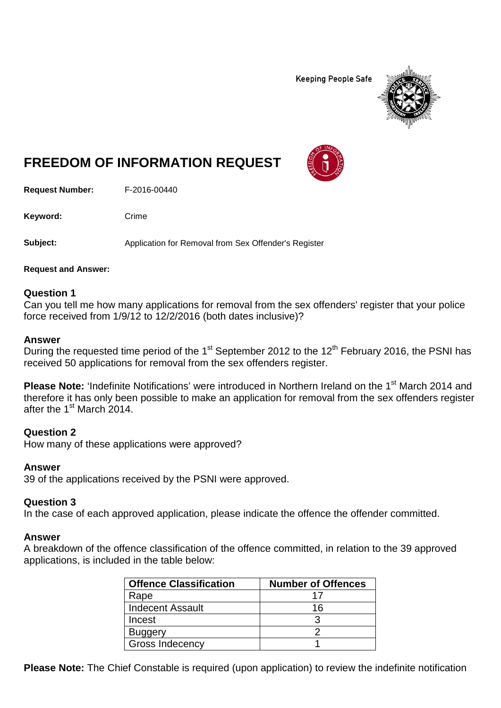**Keeping People Safe** 



# **FREEDOM OF INFORMATION REQUEST**

**Request Number:** F-2016-00440

Keyword: Crime

**Subject:** Application for Removal from Sex Offender's Register

**Request and Answer:**

#### **Question 1**

Can you tell me how many applications for removal from the sex offenders' register that your police force received from 1/9/12 to 12/2/2016 (both dates inclusive)?

#### **Answer**

During the requested time period of the 1<sup>st</sup> September 2012 to the 12<sup>th</sup> February 2016, the PSNI has received 50 applications for removal from the sex offenders register.

**Please Note:** 'Indefinite Notifications' were introduced in Northern Ireland on the 1<sup>st</sup> March 2014 and therefore it has only been possible to make an application for removal from the sex offenders register after the 1<sup>st</sup> March 2014.

#### **Question 2**

How many of these applications were approved?

#### **Answer**

39 of the applications received by the PSNI were approved.

#### **Question 3**

In the case of each approved application, please indicate the offence the offender committed.

#### **Answer**

A breakdown of the offence classification of the offence committed, in relation to the 39 approved applications, is included in the table below:

| <b>Offence Classification</b> | <b>Number of Offences</b> |
|-------------------------------|---------------------------|
| Rape                          |                           |
| <b>Indecent Assault</b>       | 16                        |
| Incest                        |                           |
| <b>Buggery</b>                |                           |
| Gross Indecency               |                           |

**Please Note:** The Chief Constable is required (upon application) to review the indefinite notification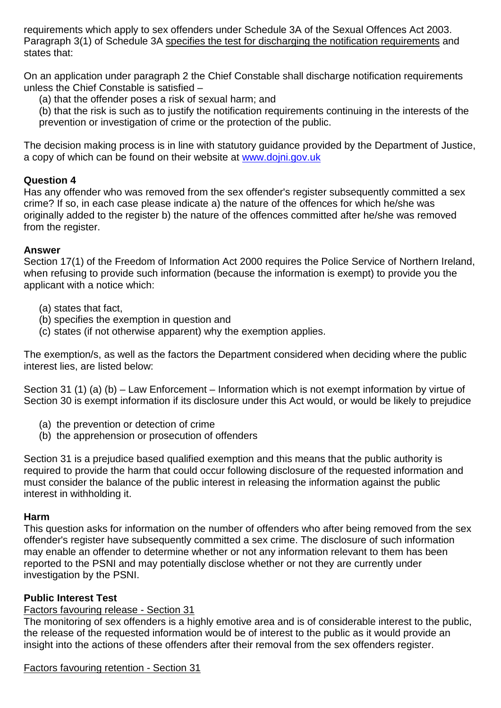requirements which apply to sex offenders under Schedule 3A of the Sexual Offences Act 2003. Paragraph 3(1) of Schedule 3A specifies the test for discharging the notification requirements and states that:

On an application under paragraph 2 the Chief Constable shall discharge notification requirements unless the Chief Constable is satisfied –

(a) that the offender poses a risk of sexual harm; and

(b) that the risk is such as to justify the notification requirements continuing in the interests of the prevention or investigation of crime or the protection of the public.

The decision making process is in line with statutory guidance provided by the Department of Justice, a copy of which can be found on their website at [www.dojni.gov.uk](http://www.dojni.gov.uk/)

#### **Question 4**

Has any offender who was removed from the sex offender's register subsequently committed a sex crime? If so, in each case please indicate a) the nature of the offences for which he/she was originally added to the register b) the nature of the offences committed after he/she was removed from the register.

#### **Answer**

Section 17(1) of the Freedom of Information Act 2000 requires the Police Service of Northern Ireland, when refusing to provide such information (because the information is exempt) to provide you the applicant with a notice which:

- (a) states that fact,
- (b) specifies the exemption in question and
- (c) states (if not otherwise apparent) why the exemption applies.

The exemption/s, as well as the factors the Department considered when deciding where the public interest lies, are listed below:

Section 31 (1) (a) (b) – Law Enforcement – Information which is not exempt information by virtue of Section 30 is exempt information if its disclosure under this Act would, or would be likely to prejudice

- (a) the prevention or detection of crime
- (b) the apprehension or prosecution of offenders

Section 31 is a prejudice based qualified exemption and this means that the public authority is required to provide the harm that could occur following disclosure of the requested information and must consider the balance of the public interest in releasing the information against the public interest in withholding it.

#### **Harm**

This question asks for information on the number of offenders who after being removed from the sex offender's register have subsequently committed a sex crime. The disclosure of such information may enable an offender to determine whether or not any information relevant to them has been reported to the PSNI and may potentially disclose whether or not they are currently under investigation by the PSNI.

## **Public Interest Test**

# Factors favouring release - Section 31

The monitoring of sex offenders is a highly emotive area and is of considerable interest to the public, the release of the requested information would be of interest to the public as it would provide an insight into the actions of these offenders after their removal from the sex offenders register.

#### Factors favouring retention - Section 31